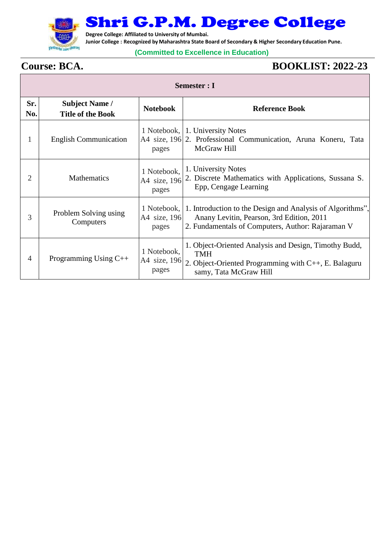

## Shri G.P.M. Degree College

**Degree College: Affiliated to University of Mumbai.**

**Junior College : Recognized by Maharashtra State Board of Secondary & Higher Secondary Education Pune.**

## **(Committed to Excellence in Education)**

## $\Gamma$

## **Course: BCA. BOOKLIST: 2022-23**

| <b>Semester : I</b> |                                                   |                                      |                                                                                                                                                                          |
|---------------------|---------------------------------------------------|--------------------------------------|--------------------------------------------------------------------------------------------------------------------------------------------------------------------------|
| Sr.<br>No.          | <b>Subject Name /</b><br><b>Title of the Book</b> | <b>Notebook</b>                      | <b>Reference Book</b>                                                                                                                                                    |
| 1                   | <b>English Communication</b>                      | pages                                | 1 Notebook, 1. University Notes<br>A4 size, 196 2. Professional Communication, Aruna Koneru, Tata<br>McGraw Hill                                                         |
| 2                   | <b>Mathematics</b>                                | 1 Notebook,<br>A4 size, 196<br>pages | 1. University Notes<br>2. Discrete Mathematics with Applications, Sussana S.<br>Epp, Cengage Learning                                                                    |
| 3                   | Problem Solving using<br>Computers                | A4 size, 196<br>pages                | 1 Notebook, 1. Introduction to the Design and Analysis of Algorithms",<br>Anany Levitin, Pearson, 3rd Edition, 2011<br>2. Fundamentals of Computers, Author: Rajaraman V |
| $\overline{4}$      | Programming Using $C++$                           | 1 Notebook,<br>A4 size, 196<br>pages | 1. Object-Oriented Analysis and Design, Timothy Budd,<br><b>TMH</b><br>2. Object-Oriented Programming with $C_{++}$ , E. Balaguru<br>samy, Tata McGraw Hill              |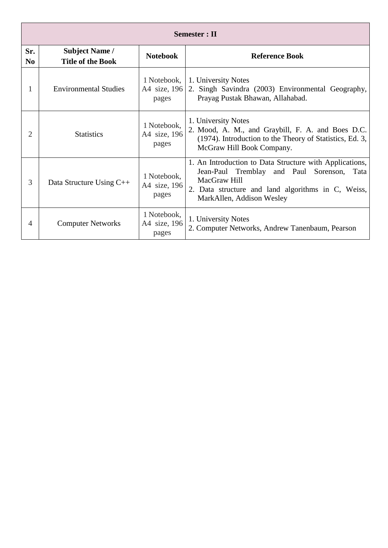| <b>Semester</b> : II  |                                                   |                                      |                                                                                                                                                                                                          |
|-----------------------|---------------------------------------------------|--------------------------------------|----------------------------------------------------------------------------------------------------------------------------------------------------------------------------------------------------------|
| Sr.<br>N <sub>0</sub> | <b>Subject Name /</b><br><b>Title of the Book</b> | <b>Notebook</b>                      | <b>Reference Book</b>                                                                                                                                                                                    |
| 1                     | <b>Environmental Studies</b>                      | 1 Notebook,<br>A4 size, 196<br>pages | 1. University Notes<br>2. Singh Savindra (2003) Environmental Geography,<br>Prayag Pustak Bhawan, Allahabad.                                                                                             |
| $\mathfrak{2}$        | <b>Statistics</b>                                 | 1 Notebook,<br>A4 size, 196<br>pages | 1. University Notes<br>2. Mood, A. M., and Graybill, F. A. and Boes D.C.<br>(1974). Introduction to the Theory of Statistics, Ed. 3,<br>McGraw Hill Book Company.                                        |
| 3                     | Data Structure Using C++                          | 1 Notebook,<br>A4 size, 196<br>pages | 1. An Introduction to Data Structure with Applications,<br>Jean-Paul Tremblay and Paul Sorenson, Tata<br>MacGraw Hill<br>2. Data structure and land algorithms in C, Weiss,<br>MarkAllen, Addison Wesley |
| 4                     | <b>Computer Networks</b>                          | 1 Notebook,<br>A4 size, 196<br>pages | 1. University Notes<br>2. Computer Networks, Andrew Tanenbaum, Pearson                                                                                                                                   |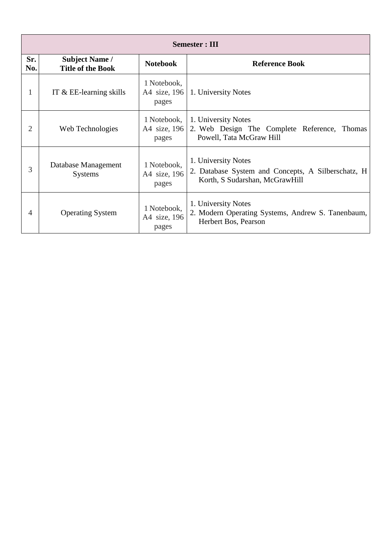| <b>Semester: III</b> |                                                   |                                      |                                                                                                             |
|----------------------|---------------------------------------------------|--------------------------------------|-------------------------------------------------------------------------------------------------------------|
| Sr.<br>No.           | <b>Subject Name /</b><br><b>Title of the Book</b> | <b>Notebook</b>                      | <b>Reference Book</b>                                                                                       |
| 1                    | IT $&\&$ EE-learning skills                       | 1 Notebook,<br>A4 size, 196<br>pages | 1. University Notes                                                                                         |
| $\overline{2}$       | Web Technologies                                  | 1 Notebook,<br>A4 size, 196<br>pages | 1. University Notes<br>2. Web Design The Complete Reference, Thomas<br>Powell, Tata McGraw Hill             |
| 3                    | Database Management<br><b>Systems</b>             | 1 Notebook,<br>A4 size, 196<br>pages | 1. University Notes<br>2. Database System and Concepts, A Silberschatz, H<br>Korth, S Sudarshan, McGrawHill |
| $\overline{4}$       | <b>Operating System</b>                           | 1 Notebook,<br>A4 size, 196<br>pages | 1. University Notes<br>2. Modern Operating Systems, Andrew S. Tanenbaum,<br>Herbert Bos, Pearson            |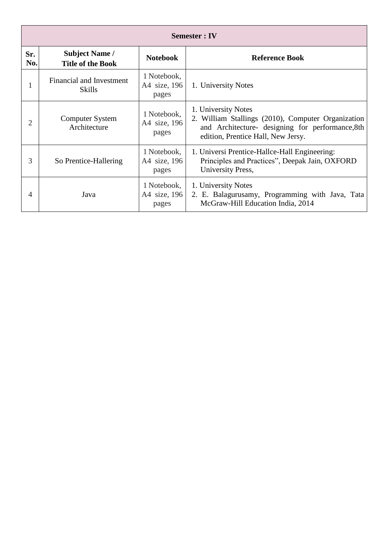| <b>Semester: IV</b> |                                                   |                                      |                                                                                                                                                                     |
|---------------------|---------------------------------------------------|--------------------------------------|---------------------------------------------------------------------------------------------------------------------------------------------------------------------|
| Sr.<br>No.          | <b>Subject Name /</b><br><b>Title of the Book</b> | <b>Notebook</b>                      | <b>Reference Book</b>                                                                                                                                               |
|                     | Financial and Investment<br><b>Skills</b>         | 1 Notebook,<br>A4 size, 196<br>pages | 1. University Notes                                                                                                                                                 |
| 2                   | Computer System<br>Architecture                   | 1 Notebook,<br>A4 size, 196<br>pages | 1. University Notes<br>2. William Stallings (2010), Computer Organization<br>and Architecture- designing for performance, 8th<br>edition, Prentice Hall, New Jersy. |
| 3                   | So Prentice-Hallering                             | 1 Notebook,<br>A4 size, 196<br>pages | 1. Universi Prentice-Hallce-Hall Engineering:<br>Principles and Practices", Deepak Jain, OXFORD<br>University Press,                                                |
| 4                   | Java                                              | 1 Notebook,<br>A4 size, 196<br>pages | 1. University Notes<br>2. E. Balagurusamy, Programming with Java, Tata<br>McGraw-Hill Education India, 2014                                                         |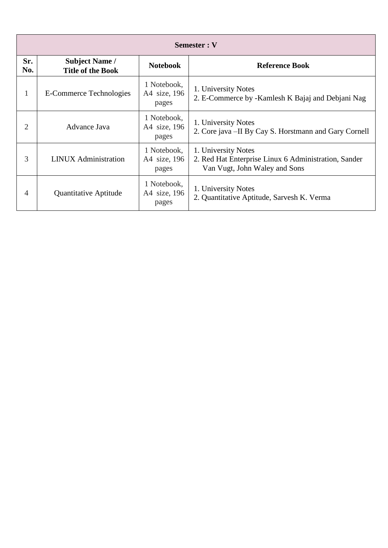| Semester: V |                                                   |                                      |                                                                                                              |
|-------------|---------------------------------------------------|--------------------------------------|--------------------------------------------------------------------------------------------------------------|
| Sr.<br>No.  | <b>Subject Name /</b><br><b>Title of the Book</b> | <b>Notebook</b>                      | <b>Reference Book</b>                                                                                        |
| 1           | E-Commerce Technologies                           | 1 Notebook,<br>A4 size, 196<br>pages | 1. University Notes<br>2. E-Commerce by -Kamlesh K Bajaj and Debjani Nag                                     |
| 2           | Advance Java                                      | 1 Notebook,<br>A4 size, 196<br>pages | 1. University Notes<br>2. Core java - II By Cay S. Horstmann and Gary Cornell                                |
| 3           | <b>LINUX</b> Administration                       | 1 Notebook,<br>A4 size, 196<br>pages | 1. University Notes<br>2. Red Hat Enterprise Linux 6 Administration, Sander<br>Van Vugt, John Waley and Sons |
| 4           | <b>Quantitative Aptitude</b>                      | 1 Notebook,<br>A4 size, 196<br>pages | 1. University Notes<br>2. Quantitative Aptitude, Sarvesh K. Verma                                            |